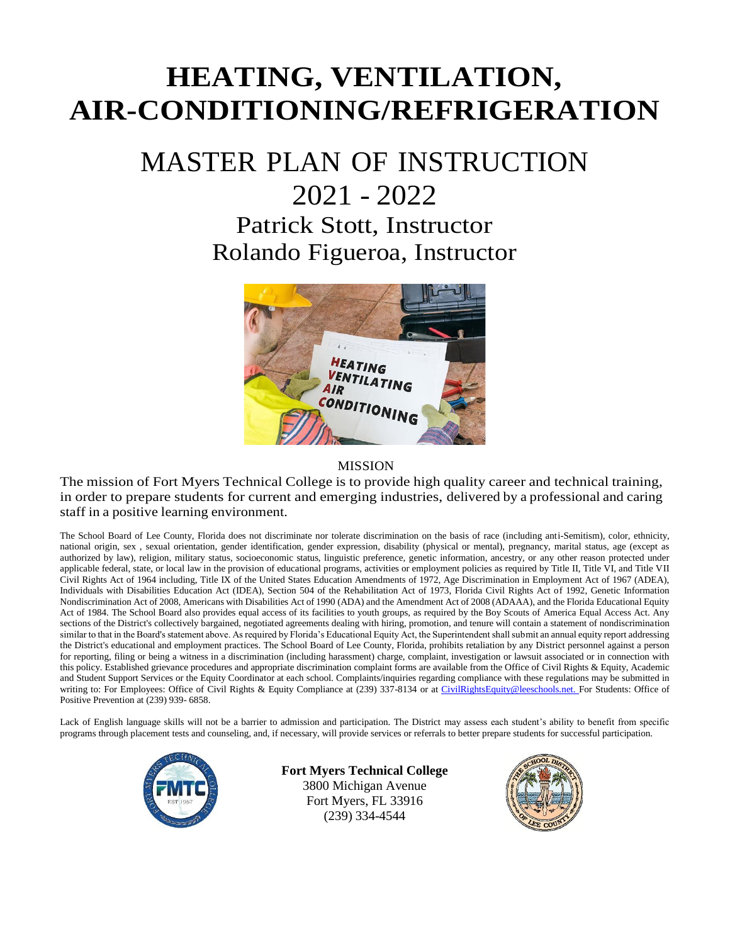# **HEATING, VENTILATION, AIR-CONDITIONING/REFRIGERATION**

## MASTER PLAN OF INSTRUCTION 2021 - 2022

Patrick Stott, Instructor Rolando Figueroa, Instructor



#### MISSION

The mission of Fort Myers Technical College is to provide high quality career and technical training, in order to prepare students for current and emerging industries, delivered by a professional and caring staff in a positive learning environment.

The School Board of Lee County, Florida does not discriminate nor tolerate discrimination on the basis of race (including anti-Semitism), color, ethnicity, national origin, sex , sexual orientation, gender identification, gender expression, disability (physical or mental), pregnancy, marital status, age (except as authorized by law), religion, military status, socioeconomic status, linguistic preference, genetic information, ancestry, or any other reason protected under applicable federal, state, or local law in the provision of educational programs, activities or employment policies as required by Title II, Title VI, and Title VII Civil Rights Act of 1964 including, Title IX of the United States Education Amendments of 1972, Age Discrimination in Employment Act of 1967 (ADEA), Individuals with Disabilities Education Act (IDEA), Section 504 of the Rehabilitation Act of 1973, Florida Civil Rights Act of 1992, Genetic Information Nondiscrimination Act of 2008, Americans with Disabilities Act of 1990 (ADA) and the Amendment Act of 2008 (ADAAA), and the Florida Educational Equity Act of 1984. The School Board also provides equal access of its facilities to youth groups, as required by the Boy Scouts of America Equal Access Act. Any sections of the District's collectively bargained, negotiated agreements dealing with hiring, promotion, and tenure will contain a statement of nondiscrimination similar to that in the Board's statement above. As required by Florida's Educational Equity Act, the Superintendent shall submit an annual equity report addressing the District's educational and employment practices. The School Board of Lee County, Florida, prohibits retaliation by any District personnel against a person for reporting, filing or being a witness in a discrimination (including harassment) charge, complaint, investigation or lawsuit associated or in connection with this policy. Established grievance procedures and appropriate discrimination complaint forms are available from the Office of Civil Rights & Equity, Academic and Student Support Services or the Equity Coordinator at each school. Complaints/inquiries regarding compliance with these regulations may be submitted in writing to: For Employees: Office of Civil Rights & Equity Compliance at (239) 337-8134 or at [CivilRightsEquity@leeschools.net. F](mailto:CivilRightsEquity@leeschools.net)or Students: Office of Positive Prevention at (239) 939- 6858.

Lack of English language skills will not be a barrier to admission and participation. The District may assess each student's ability to benefit from specific programs through placement tests and counseling, and, if necessary, will provide services or referrals to better prepare students for successful participation.



**Fort Myers Technical College** 3800 Michigan Avenue Fort Myers, FL 33916 (239) 334-4544

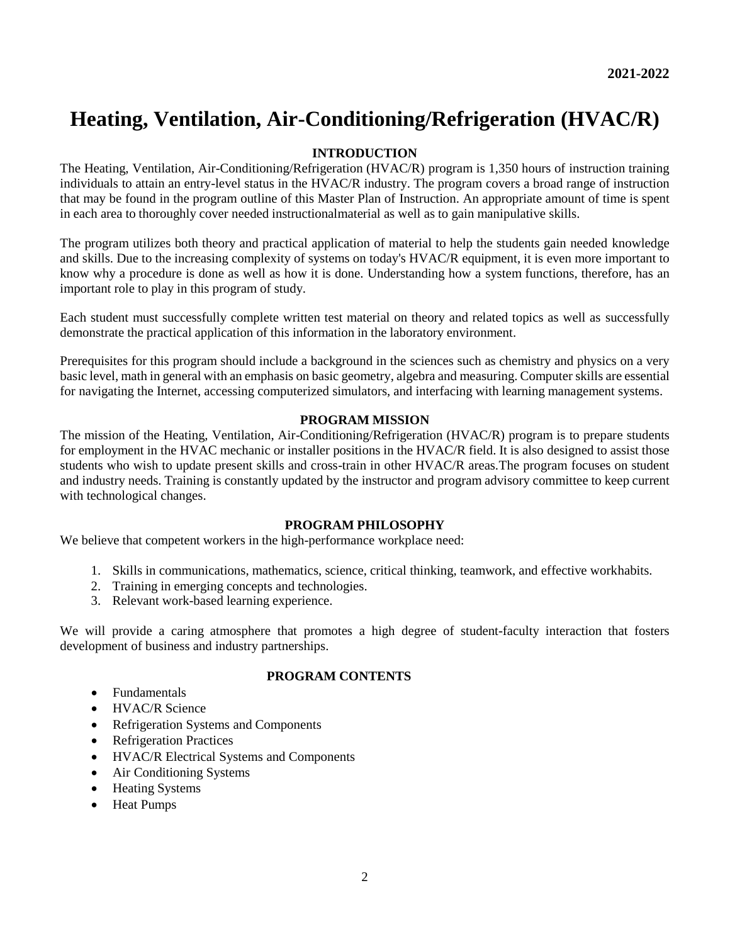### **Heating, Ventilation, Air-Conditioning/Refrigeration (HVAC/R)**

#### **INTRODUCTION**

The Heating, Ventilation, Air-Conditioning/Refrigeration (HVAC/R) program is 1,350 hours of instruction training individuals to attain an entry-level status in the HVAC/R industry. The program covers a broad range of instruction that may be found in the program outline of this Master Plan of Instruction. An appropriate amount of time is spent in each area to thoroughly cover needed instructionalmaterial as well as to gain manipulative skills.

The program utilizes both theory and practical application of material to help the students gain needed knowledge and skills. Due to the increasing complexity of systems on today's HVAC/R equipment, it is even more important to know why a procedure is done as well as how it is done. Understanding how a system functions, therefore, has an important role to play in this program of study.

Each student must successfully complete written test material on theory and related topics as well as successfully demonstrate the practical application of this information in the laboratory environment.

Prerequisites for this program should include a background in the sciences such as chemistry and physics on a very basic level, math in general with an emphasis on basic geometry, algebra and measuring. Computer skills are essential for navigating the Internet, accessing computerized simulators, and interfacing with learning management systems.

#### **PROGRAM MISSION**

The mission of the Heating, Ventilation, Air-Conditioning/Refrigeration (HVAC/R) program is to prepare students for employment in the HVAC mechanic or installer positions in the HVAC/R field. It is also designed to assist those students who wish to update present skills and cross-train in other HVAC/R areas.The program focuses on student and industry needs. Training is constantly updated by the instructor and program advisory committee to keep current with technological changes.

#### **PROGRAM PHILOSOPHY**

We believe that competent workers in the high-performance workplace need:

- 1. Skills in communications, mathematics, science, critical thinking, teamwork, and effective workhabits.
- 2. Training in emerging concepts and technologies.
- 3. Relevant work-based learning experience.

We will provide a caring atmosphere that promotes a high degree of student-faculty interaction that fosters development of business and industry partnerships.

#### **PROGRAM CONTENTS**

- Fundamentals
- HVAC/R Science
- Refrigeration Systems and Components
- Refrigeration Practices
- HVAC/R Electrical Systems and Components
- Air Conditioning Systems
- Heating Systems
- Heat Pumps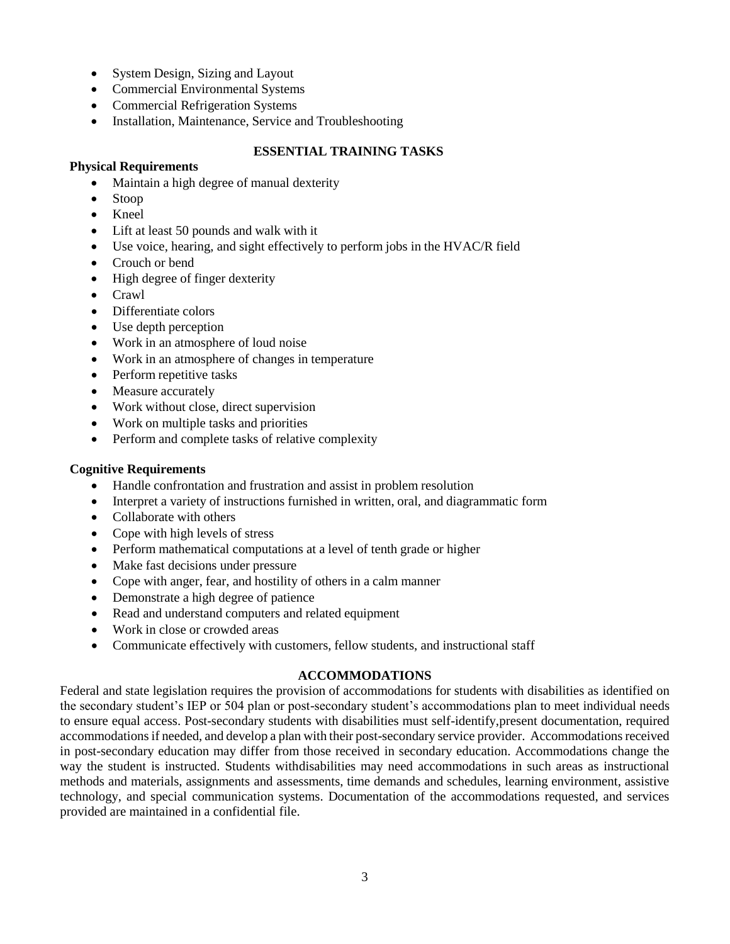- System Design, Sizing and Layout
- Commercial Environmental Systems
- Commercial Refrigeration Systems
- Installation, Maintenance, Service and Troubleshooting

#### **ESSENTIAL TRAINING TASKS**

#### **Physical Requirements**

- Maintain a high degree of manual dexterity
- Stoop
- Kneel
- Lift at least 50 pounds and walk with it
- Use voice, hearing, and sight effectively to perform jobs in the HVAC/R field
- Crouch or bend
- High degree of finger dexterity
- Crawl
- Differentiate colors
- Use depth perception
- Work in an atmosphere of loud noise
- Work in an atmosphere of changes in temperature
- Perform repetitive tasks
- Measure accurately
- Work without close, direct supervision
- Work on multiple tasks and priorities
- Perform and complete tasks of relative complexity

#### **Cognitive Requirements**

- Handle confrontation and frustration and assist in problem resolution
- Interpret a variety of instructions furnished in written, oral, and diagrammatic form
- Collaborate with others
- Cope with high levels of stress
- Perform mathematical computations at a level of tenth grade or higher
- Make fast decisions under pressure
- Cope with anger, fear, and hostility of others in a calm manner
- Demonstrate a high degree of patience
- Read and understand computers and related equipment
- Work in close or crowded areas
- Communicate effectively with customers, fellow students, and instructional staff

#### **ACCOMMODATIONS**

Federal and state legislation requires the provision of accommodations for students with disabilities as identified on the secondary student's IEP or 504 plan or post-secondary student's accommodations plan to meet individual needs to ensure equal access. Post-secondary students with disabilities must self-identify,present documentation, required accommodations if needed, and develop a plan with their post-secondary service provider. Accommodations received in post-secondary education may differ from those received in secondary education. Accommodations change the way the student is instructed. Students withdisabilities may need accommodations in such areas as instructional methods and materials, assignments and assessments, time demands and schedules, learning environment, assistive technology, and special communication systems. Documentation of the accommodations requested, and services provided are maintained in a confidential file.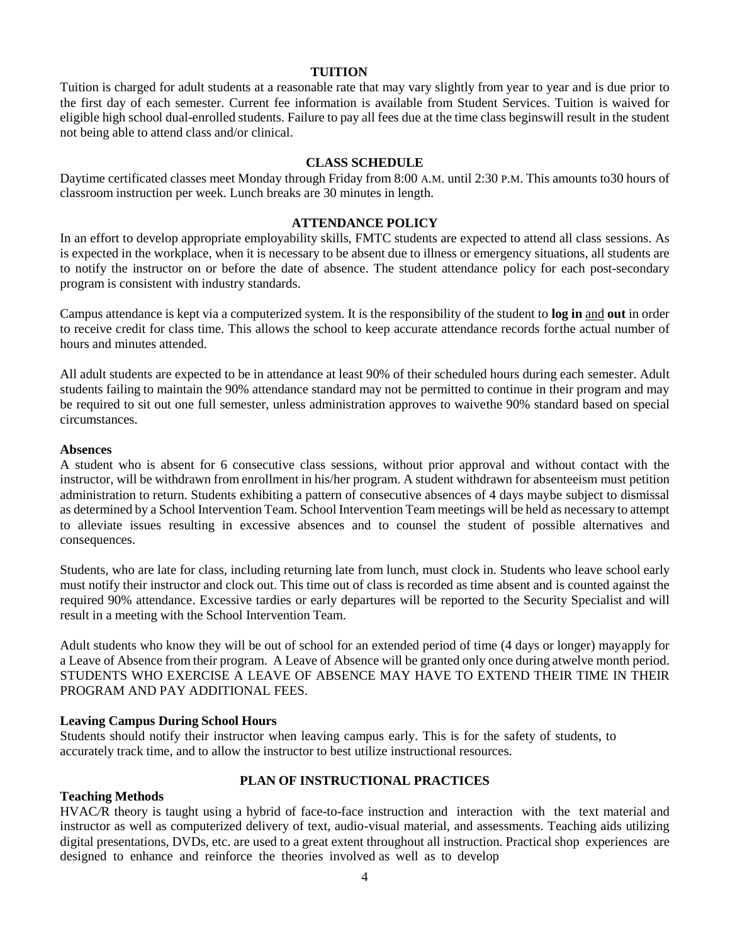#### **TUITION**

Tuition is charged for adult students at a reasonable rate that may vary slightly from year to year and is due prior to the first day of each semester. Current fee information is available from Student Services. Tuition is waived for eligible high school dual-enrolled students. Failure to pay all fees due at the time class beginswill result in the student not being able to attend class and/or clinical.

#### **CLASS SCHEDULE**

Daytime certificated classes meet Monday through Friday from 8:00 A.M. until 2:30 P.M. This amounts to30 hours of classroom instruction per week. Lunch breaks are 30 minutes in length.

#### **ATTENDANCE POLICY**

In an effort to develop appropriate employability skills, FMTC students are expected to attend all class sessions. As is expected in the workplace, when it is necessary to be absent due to illness or emergency situations, all students are to notify the instructor on or before the date of absence. The student attendance policy for each post-secondary program is consistent with industry standards.

Campus attendance is kept via a computerized system. It is the responsibility of the student to **log in** and **out** in order to receive credit for class time. This allows the school to keep accurate attendance records forthe actual number of hours and minutes attended.

All adult students are expected to be in attendance at least 90% of their scheduled hours during each semester. Adult students failing to maintain the 90% attendance standard may not be permitted to continue in their program and may be required to sit out one full semester, unless administration approves to waivethe 90% standard based on special circumstances.

#### **Absences**

A student who is absent for 6 consecutive class sessions, without prior approval and without contact with the instructor, will be withdrawn from enrollment in his/her program. A student withdrawn for absenteeism must petition administration to return. Students exhibiting a pattern of consecutive absences of 4 days maybe subject to dismissal as determined by a School Intervention Team. School Intervention Team meetings will be held as necessary to attempt to alleviate issues resulting in excessive absences and to counsel the student of possible alternatives and consequences.

Students, who are late for class, including returning late from lunch, must clock in. Students who leave school early must notify their instructor and clock out. This time out of class is recorded as time absent and is counted against the required 90% attendance. Excessive tardies or early departures will be reported to the Security Specialist and will result in a meeting with the School Intervention Team.

Adult students who know they will be out of school for an extended period of time (4 days or longer) mayapply for a Leave of Absence from their program. A Leave of Absence will be granted only once during atwelve month period. STUDENTS WHO EXERCISE A LEAVE OF ABSENCE MAY HAVE TO EXTEND THEIR TIME IN THEIR PROGRAM AND PAY ADDITIONAL FEES.

#### **Leaving Campus During School Hours**

Students should notify their instructor when leaving campus early. This is for the safety of students, to accurately track time, and to allow the instructor to best utilize instructional resources.

#### **PLAN OF INSTRUCTIONAL PRACTICES**

#### **Teaching Methods**

HVAC/R theory is taught using a hybrid of face-to-face instruction and interaction with the text material and instructor as well as computerized delivery of text, audio-visual material, and assessments. Teaching aids utilizing digital presentations, DVDs, etc. are used to a great extent throughout all instruction. Practical shop experiences are designed to enhance and reinforce the theories involved as well as to develop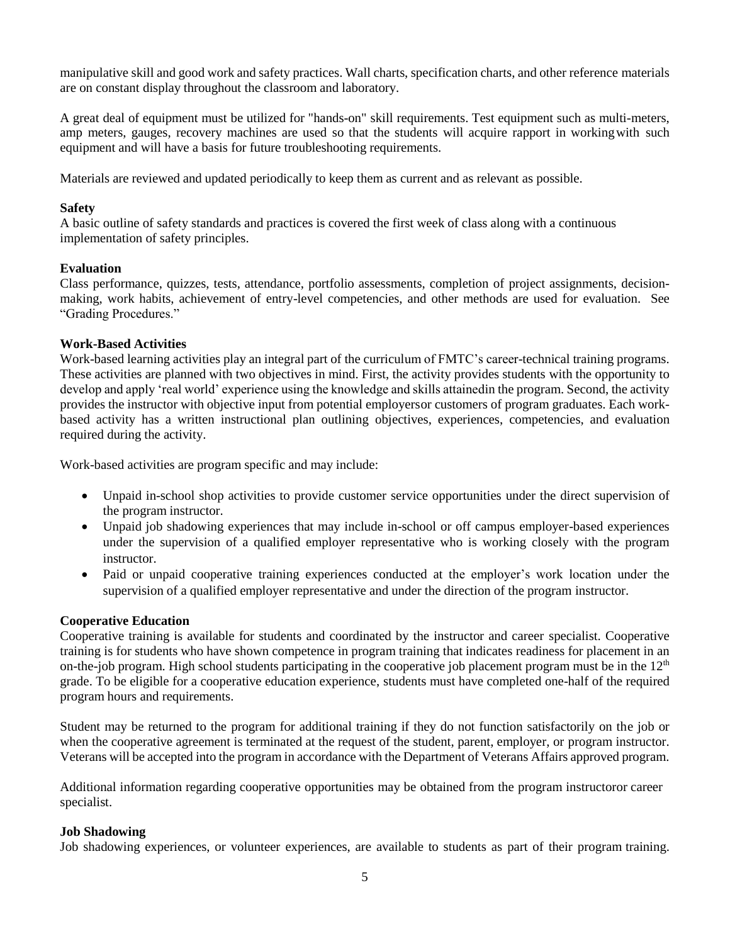manipulative skill and good work and safety practices. Wall charts, specification charts, and other reference materials are on constant display throughout the classroom and laboratory.

A great deal of equipment must be utilized for "hands-on" skill requirements. Test equipment such as multi-meters, amp meters, gauges, recovery machines are used so that the students will acquire rapport in workingwith such equipment and will have a basis for future troubleshooting requirements.

Materials are reviewed and updated periodically to keep them as current and as relevant as possible.

#### **Safety**

A basic outline of safety standards and practices is covered the first week of class along with a continuous implementation of safety principles.

#### **Evaluation**

Class performance, quizzes, tests, attendance, portfolio assessments, completion of project assignments, decisionmaking, work habits, achievement of entry-level competencies, and other methods are used for evaluation. See "Grading Procedures."

#### **Work-Based Activities**

Work-based learning activities play an integral part of the curriculum of FMTC's career-technical training programs. These activities are planned with two objectives in mind. First, the activity provides students with the opportunity to develop and apply 'real world' experience using the knowledge and skills attainedin the program. Second, the activity provides the instructor with objective input from potential employersor customers of program graduates. Each workbased activity has a written instructional plan outlining objectives, experiences, competencies, and evaluation required during the activity.

Work-based activities are program specific and may include:

- Unpaid in-school shop activities to provide customer service opportunities under the direct supervision of the program instructor.
- Unpaid job shadowing experiences that may include in-school or off campus employer-based experiences under the supervision of a qualified employer representative who is working closely with the program instructor.
- Paid or unpaid cooperative training experiences conducted at the employer's work location under the supervision of a qualified employer representative and under the direction of the program instructor.

#### **Cooperative Education**

Cooperative training is available for students and coordinated by the instructor and career specialist. Cooperative training is for students who have shown competence in program training that indicates readiness for placement in an on-the-job program. High school students participating in the cooperative job placement program must be in the  $12<sup>th</sup>$ grade. To be eligible for a cooperative education experience, students must have completed one-half of the required program hours and requirements.

Student may be returned to the program for additional training if they do not function satisfactorily on the job or when the cooperative agreement is terminated at the request of the student, parent, employer, or program instructor. Veterans will be accepted into the program in accordance with the Department of Veterans Affairs approved program.

Additional information regarding cooperative opportunities may be obtained from the program instructoror career specialist.

#### **Job Shadowing**

Job shadowing experiences, or volunteer experiences, are available to students as part of their program training.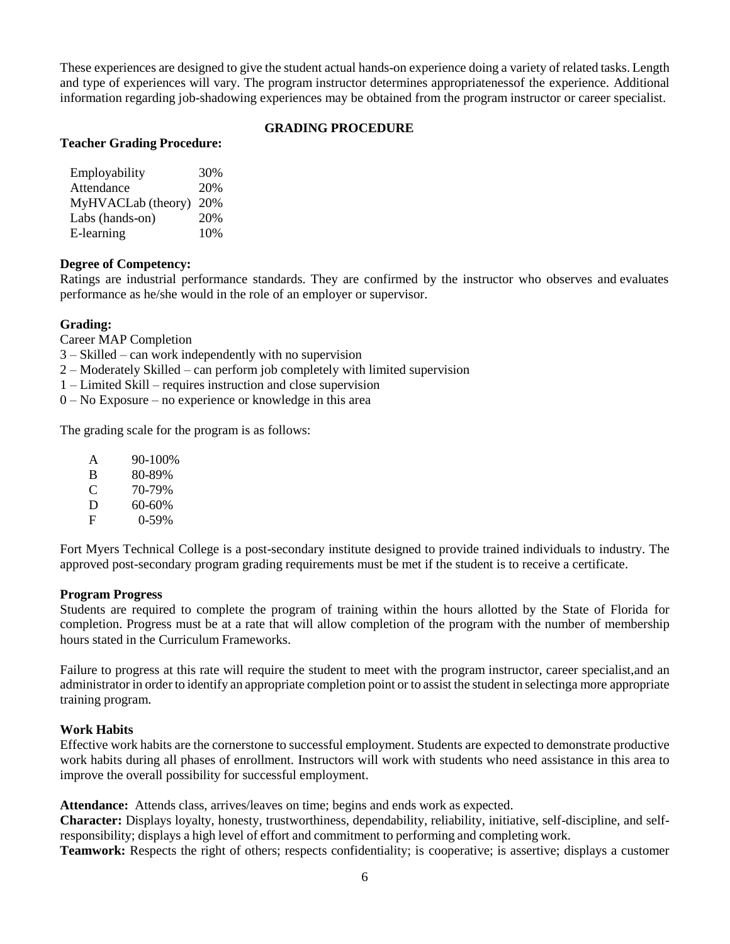These experiences are designed to give the student actual hands-on experience doing a variety of related tasks. Length and type of experiences will vary. The program instructor determines appropriatenessof the experience. Additional information regarding job-shadowing experiences may be obtained from the program instructor or career specialist.

#### **GRADING PROCEDURE**

#### **Teacher Grading Procedure:**

| Employability      | 30% |
|--------------------|-----|
| Attendance         | 20% |
| MyHVACLab (theory) | 20% |
| Labs (hands-on)    | 20% |
| E-learning         | 10% |

#### **Degree of Competency:**

Ratings are industrial performance standards. They are confirmed by the instructor who observes and evaluates performance as he/she would in the role of an employer or supervisor.

#### **Grading:**

Career MAP Completion

- 3 Skilled can work independently with no supervision
- 2 Moderately Skilled can perform job completely with limited supervision
- 1 Limited Skill requires instruction and close supervision
- 0 No Exposure no experience or knowledge in this area

The grading scale for the program is as follows:

| A | 90-100% |
|---|---------|
| B | 80-89%  |
| C | 70-79%  |
| D | 60-60%  |
| F |         |
|   | 0-59%   |

Fort Myers Technical College is a post-secondary institute designed to provide trained individuals to industry. The approved post-secondary program grading requirements must be met if the student is to receive a certificate.

#### **Program Progress**

Students are required to complete the program of training within the hours allotted by the State of Florida for completion. Progress must be at a rate that will allow completion of the program with the number of membership hours stated in the Curriculum Frameworks.

Failure to progress at this rate will require the student to meet with the program instructor, career specialist,and an administrator in order to identify an appropriate completion point or to assist the student in selectinga more appropriate training program.

#### **Work Habits**

Effective work habits are the cornerstone to successful employment. Students are expected to demonstrate productive work habits during all phases of enrollment. Instructors will work with students who need assistance in this area to improve the overall possibility for successful employment.

**Attendance:** Attends class, arrives/leaves on time; begins and ends work as expected.

**Character:** Displays loyalty, honesty, trustworthiness, dependability, reliability, initiative, self-discipline, and selfresponsibility; displays a high level of effort and commitment to performing and completing work.

**Teamwork:** Respects the right of others; respects confidentiality; is cooperative; is assertive; displays a customer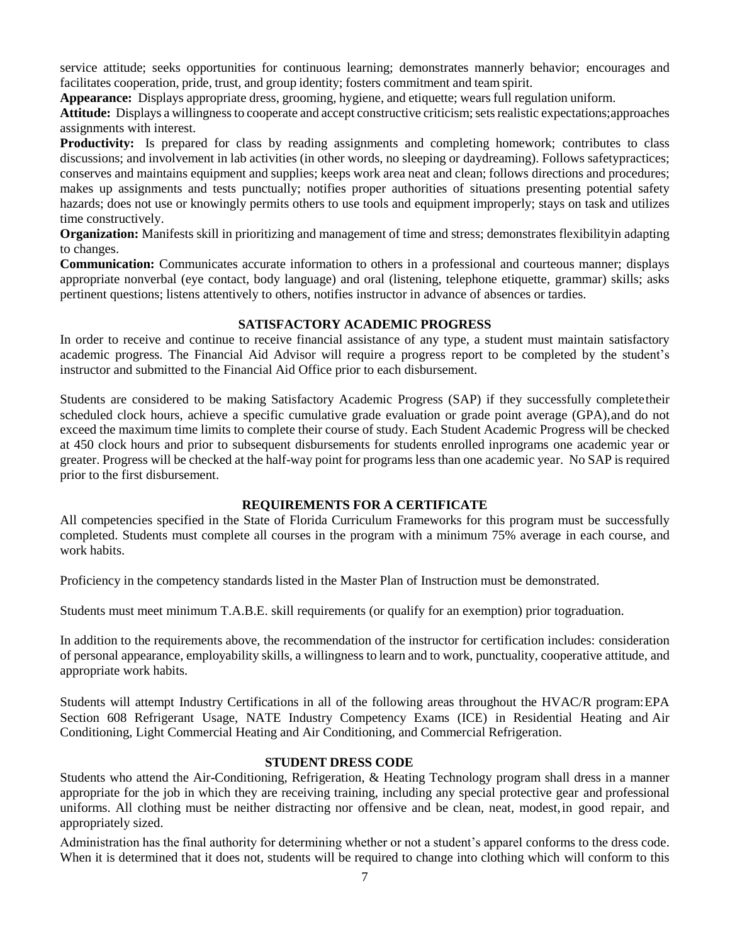service attitude; seeks opportunities for continuous learning; demonstrates mannerly behavior; encourages and facilitates cooperation, pride, trust, and group identity; fosters commitment and team spirit.

**Appearance:** Displays appropriate dress, grooming, hygiene, and etiquette; wears full regulation uniform.

Attitude: Displays a willingness to cooperate and accept constructive criticism; sets realistic expectations;approaches assignments with interest.

**Productivity:** Is prepared for class by reading assignments and completing homework; contributes to class discussions; and involvement in lab activities (in other words, no sleeping or daydreaming). Follows safetypractices; conserves and maintains equipment and supplies; keeps work area neat and clean; follows directions and procedures; makes up assignments and tests punctually; notifies proper authorities of situations presenting potential safety hazards; does not use or knowingly permits others to use tools and equipment improperly; stays on task and utilizes time constructively.

**Organization:** Manifests skill in prioritizing and management of time and stress; demonstrates flexibilityin adapting to changes.

**Communication:** Communicates accurate information to others in a professional and courteous manner; displays appropriate nonverbal (eye contact, body language) and oral (listening, telephone etiquette, grammar) skills; asks pertinent questions; listens attentively to others, notifies instructor in advance of absences or tardies.

#### **SATISFACTORY ACADEMIC PROGRESS**

In order to receive and continue to receive financial assistance of any type, a student must maintain satisfactory academic progress. The Financial Aid Advisor will require a progress report to be completed by the student's instructor and submitted to the Financial Aid Office prior to each disbursement.

Students are considered to be making Satisfactory Academic Progress (SAP) if they successfully completetheir scheduled clock hours, achieve a specific cumulative grade evaluation or grade point average (GPA),and do not exceed the maximum time limits to complete their course of study. Each Student Academic Progress will be checked at 450 clock hours and prior to subsequent disbursements for students enrolled inprograms one academic year or greater. Progress will be checked at the half-way point for programs less than one academic year. No SAP is required prior to the first disbursement.

#### **REQUIREMENTS FOR A CERTIFICATE**

All competencies specified in the State of Florida Curriculum Frameworks for this program must be successfully completed. Students must complete all courses in the program with a minimum 75% average in each course, and work habits.

Proficiency in the competency standards listed in the Master Plan of Instruction must be demonstrated.

Students must meet minimum T.A.B.E. skill requirements (or qualify for an exemption) prior tograduation.

In addition to the requirements above, the recommendation of the instructor for certification includes: consideration of personal appearance, employability skills, a willingness to learn and to work, punctuality, cooperative attitude, and appropriate work habits.

Students will attempt Industry Certifications in all of the following areas throughout the HVAC/R program:EPA Section 608 Refrigerant Usage, NATE Industry Competency Exams (ICE) in Residential Heating and Air Conditioning, Light Commercial Heating and Air Conditioning, and Commercial Refrigeration.

#### **STUDENT DRESS CODE**

Students who attend the Air-Conditioning, Refrigeration, & Heating Technology program shall dress in a manner appropriate for the job in which they are receiving training, including any special protective gear and professional uniforms. All clothing must be neither distracting nor offensive and be clean, neat, modest,in good repair, and appropriately sized.

Administration has the final authority for determining whether or not a student's apparel conforms to the dress code. When it is determined that it does not, students will be required to change into clothing which will conform to this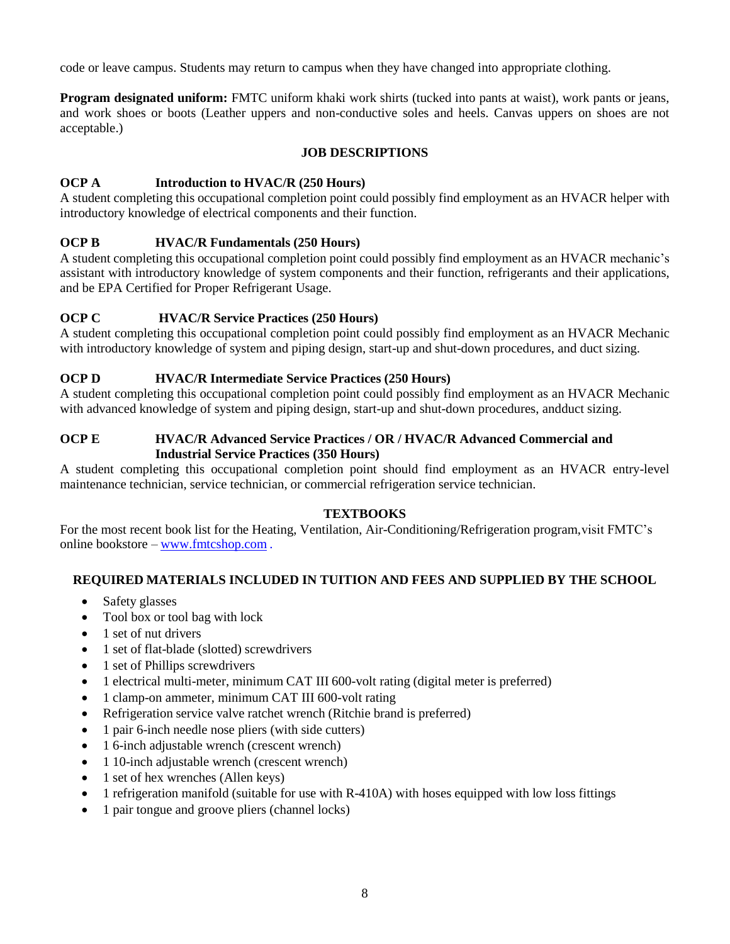code or leave campus. Students may return to campus when they have changed into appropriate clothing.

**Program designated uniform:** FMTC uniform khaki work shirts (tucked into pants at waist), work pants or jeans, and work shoes or boots (Leather uppers and non-conductive soles and heels. Canvas uppers on shoes are not acceptable.)

#### **JOB DESCRIPTIONS**

#### **OCP A Introduction to HVAC/R (250 Hours)**

A student completing this occupational completion point could possibly find employment as an HVACR helper with introductory knowledge of electrical components and their function.

#### **OCP B HVAC/R Fundamentals (250 Hours)**

A student completing this occupational completion point could possibly find employment as an HVACR mechanic's assistant with introductory knowledge of system components and their function, refrigerants and their applications, and be EPA Certified for Proper Refrigerant Usage.

#### **OCP C HVAC/R Service Practices (250 Hours)**

A student completing this occupational completion point could possibly find employment as an HVACR Mechanic with introductory knowledge of system and piping design, start-up and shut-down procedures, and duct sizing.

#### **OCP D HVAC/R Intermediate Service Practices (250 Hours)**

A student completing this occupational completion point could possibly find employment as an HVACR Mechanic with advanced knowledge of system and piping design, start-up and shut-down procedures, andduct sizing.

#### **OCP E HVAC/R Advanced Service Practices / OR / HVAC/R Advanced Commercial and Industrial Service Practices (350 Hours)**

A student completing this occupational completion point should find employment as an HVACR entry-level maintenance technician, service technician, or commercial refrigeration service technician.

#### **TEXTBOOKS**

For the most recent book list for the Heating, Ventilation, Air-Conditioning/Refrigeration program, visit FMTC's online bookstore – [www.fmtcshop.com](http://www.fmtcshop.com/) .

#### **REQUIRED MATERIALS INCLUDED IN TUITION AND FEES AND SUPPLIED BY THE SCHOOL**

- Safety glasses
- Tool box or tool bag with lock
- 1 set of nut drivers
- 1 set of flat-blade (slotted) screwdrivers
- 1 set of Phillips screwdrivers
- 1 electrical multi-meter, minimum CAT III 600-volt rating (digital meter is preferred)
- 1 clamp-on ammeter, minimum CAT III 600-volt rating
- Refrigeration service valve ratchet wrench (Ritchie brand is preferred)
- 1 pair 6-inch needle nose pliers (with side cutters)
- 1 6-inch adjustable wrench (crescent wrench)
- 1 10-inch adjustable wrench (crescent wrench)
- 1 set of hex wrenches (Allen keys)
- 1 refrigeration manifold (suitable for use with R-410A) with hoses equipped with low loss fittings
- 1 pair tongue and groove pliers (channel locks)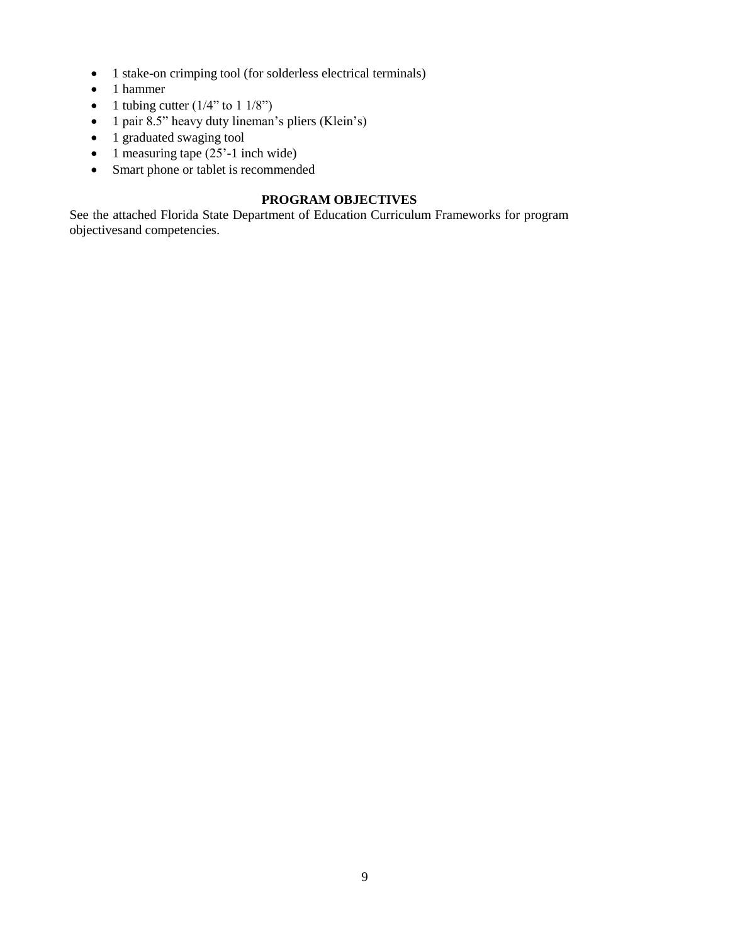- 1 stake-on crimping tool (for solderless electrical terminals)
- 1 hammer
- 1 tubing cutter  $(1/4"$  to  $1/8"$ )
- 1 pair 8.5" heavy duty lineman's pliers (Klein's)
- 1 graduated swaging tool
- 1 measuring tape  $(25'-1)$  inch wide)
- Smart phone or tablet is recommended

### **PROGRAM OBJECTIVES**

See the attached Florida State Department of Education Curriculum Frameworks for program objectivesand competencies.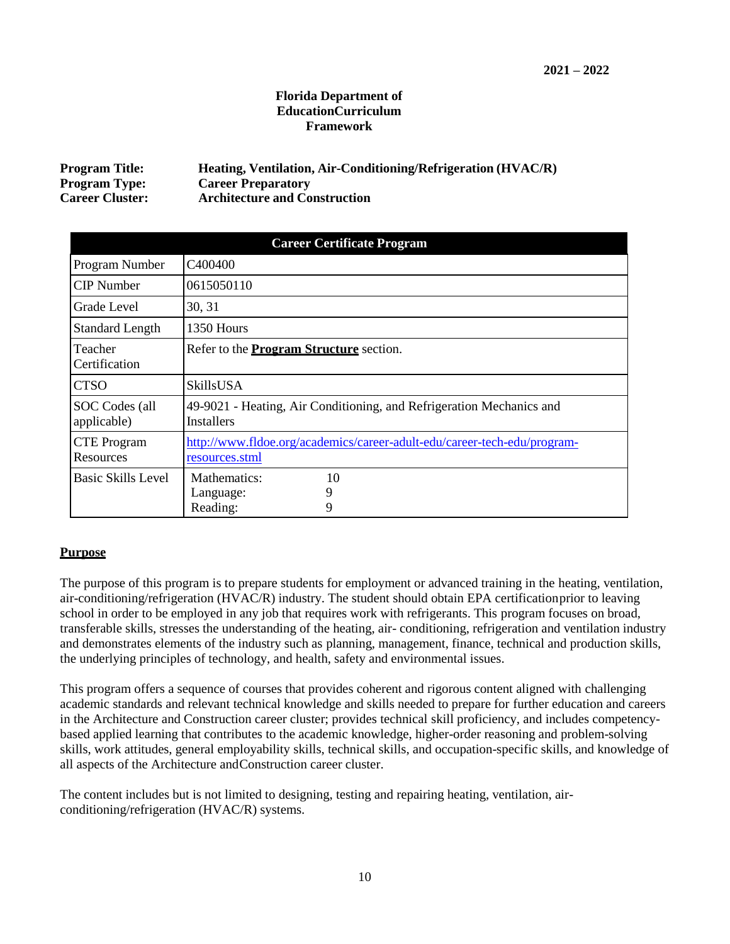#### **Florida Department of EducationCurriculum Framework**

| <b>Program Title:</b>  | Heating, Ventilation, Air-Conditioning/Refrigeration (HVAC/R) |
|------------------------|---------------------------------------------------------------|
| <b>Program Type:</b>   | <b>Career Preparatory</b>                                     |
| <b>Career Cluster:</b> | <b>Architecture and Construction</b>                          |

| <b>Career Certificate Program</b> |                                                                                            |  |  |  |  |
|-----------------------------------|--------------------------------------------------------------------------------------------|--|--|--|--|
| Program Number                    | C <sub>4</sub> 00400                                                                       |  |  |  |  |
| <b>CIP</b> Number                 | 0615050110                                                                                 |  |  |  |  |
| Grade Level                       | 30, 31                                                                                     |  |  |  |  |
| <b>Standard Length</b>            | 1350 Hours                                                                                 |  |  |  |  |
| Teacher<br>Certification          | Refer to the <b>Program Structure</b> section.                                             |  |  |  |  |
| <b>CTSO</b>                       | SkillsUSA                                                                                  |  |  |  |  |
| SOC Codes (all<br>applicable)     | 49-9021 - Heating, Air Conditioning, and Refrigeration Mechanics and<br><b>Installers</b>  |  |  |  |  |
| <b>CTE</b> Program<br>Resources   | http://www.fldoe.org/academics/career-adult-edu/career-tech-edu/program-<br>resources.stml |  |  |  |  |
| Basic Skills Level                | Mathematics:<br>10<br>9<br>Language:<br>9<br>Reading:                                      |  |  |  |  |

#### **Purpose**

The purpose of this program is to prepare students for employment or advanced training in the heating, ventilation, air-conditioning/refrigeration (HVAC/R) industry. The student should obtain EPA certificationprior to leaving school in order to be employed in any job that requires work with refrigerants. This program focuses on broad, transferable skills, stresses the understanding of the heating, air- conditioning, refrigeration and ventilation industry and demonstrates elements of the industry such as planning, management, finance, technical and production skills, the underlying principles of technology, and health, safety and environmental issues.

This program offers a sequence of courses that provides coherent and rigorous content aligned with challenging academic standards and relevant technical knowledge and skills needed to prepare for further education and careers in the Architecture and Construction career cluster; provides technical skill proficiency, and includes competencybased applied learning that contributes to the academic knowledge, higher-order reasoning and problem-solving skills, work attitudes, general employability skills, technical skills, and occupation-specific skills, and knowledge of all aspects of the Architecture andConstruction career cluster.

The content includes but is not limited to designing, testing and repairing heating, ventilation, airconditioning/refrigeration (HVAC/R) systems.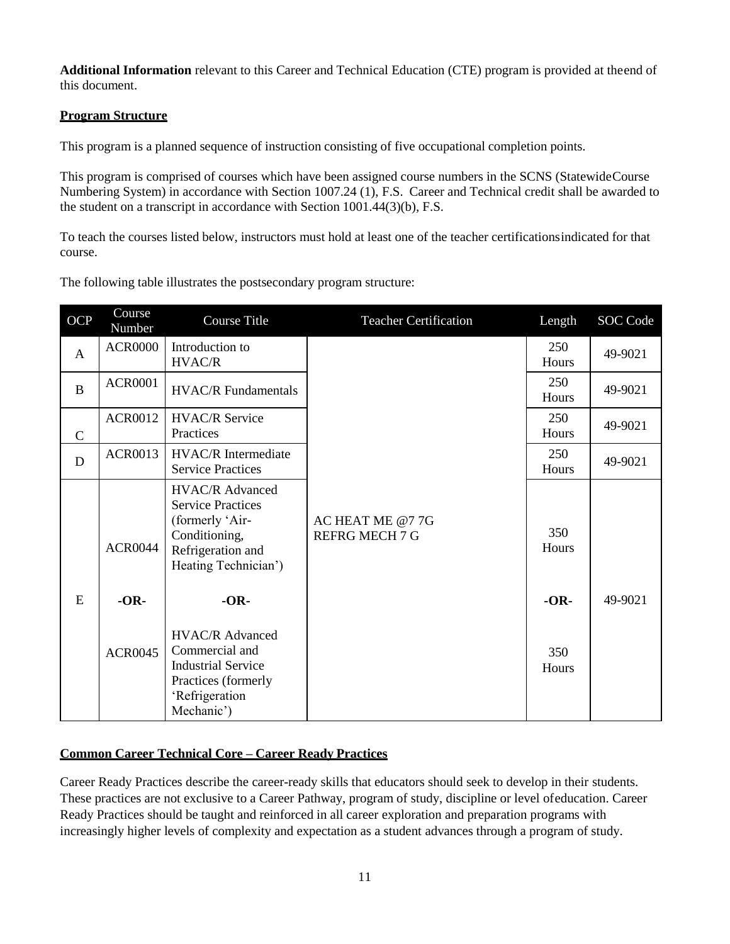**Additional Information** relevant to this Career and Technical Education (CTE) program is provided at theend of this document.

#### **Program Structure**

This program is a planned sequence of instruction consisting of five occupational completion points.

This program is comprised of courses which have been assigned course numbers in the SCNS (StatewideCourse Numbering System) in accordance with Section 1007.24 (1), F.S. Career and Technical credit shall be awarded to the student on a transcript in accordance with Section 1001.44(3)(b), F.S.

To teach the courses listed below, instructors must hold at least one of the teacher certificationsindicated for that course.

The following table illustrates the postsecondary program structure:

| OCP          | Course<br>Number | Course Title                                                                                                                 | <b>Teacher Certification</b>             | Length       | SOC Code |
|--------------|------------------|------------------------------------------------------------------------------------------------------------------------------|------------------------------------------|--------------|----------|
| $\mathbf{A}$ | <b>ACR0000</b>   | Introduction to<br>HVAC/R                                                                                                    |                                          | 250<br>Hours | 49-9021  |
| $\bf{B}$     | <b>ACR0001</b>   | <b>HVAC/R</b> Fundamentals                                                                                                   |                                          | 250<br>Hours | 49-9021  |
| $\mathsf{C}$ | <b>ACR0012</b>   | <b>HVAC/R Service</b><br>Practices                                                                                           |                                          | 250<br>Hours | 49-9021  |
| D            | <b>ACR0013</b>   | <b>HVAC/R</b> Intermediate<br><b>Service Practices</b>                                                                       |                                          | 250<br>Hours | 49-9021  |
|              | <b>ACR0044</b>   | HVAC/R Advanced<br><b>Service Practices</b><br>(formerly 'Air-<br>Conditioning,<br>Refrigeration and<br>Heating Technician') | AC HEAT ME @77G<br><b>REFRG MECH 7 G</b> | 350<br>Hours |          |
| E            | $-OR-$           | $-OR-$                                                                                                                       |                                          | $-OR-$       | 49-9021  |
|              | <b>ACR0045</b>   | <b>HVAC/R Advanced</b><br>Commercial and<br><b>Industrial Service</b><br>Practices (formerly<br>'Refrigeration<br>Mechanic') |                                          | 350<br>Hours |          |

#### **Common Career Technical Core – Career Ready Practices**

Career Ready Practices describe the career-ready skills that educators should seek to develop in their students. These practices are not exclusive to a Career Pathway, program of study, discipline or level ofeducation. Career Ready Practices should be taught and reinforced in all career exploration and preparation programs with increasingly higher levels of complexity and expectation as a student advances through a program of study.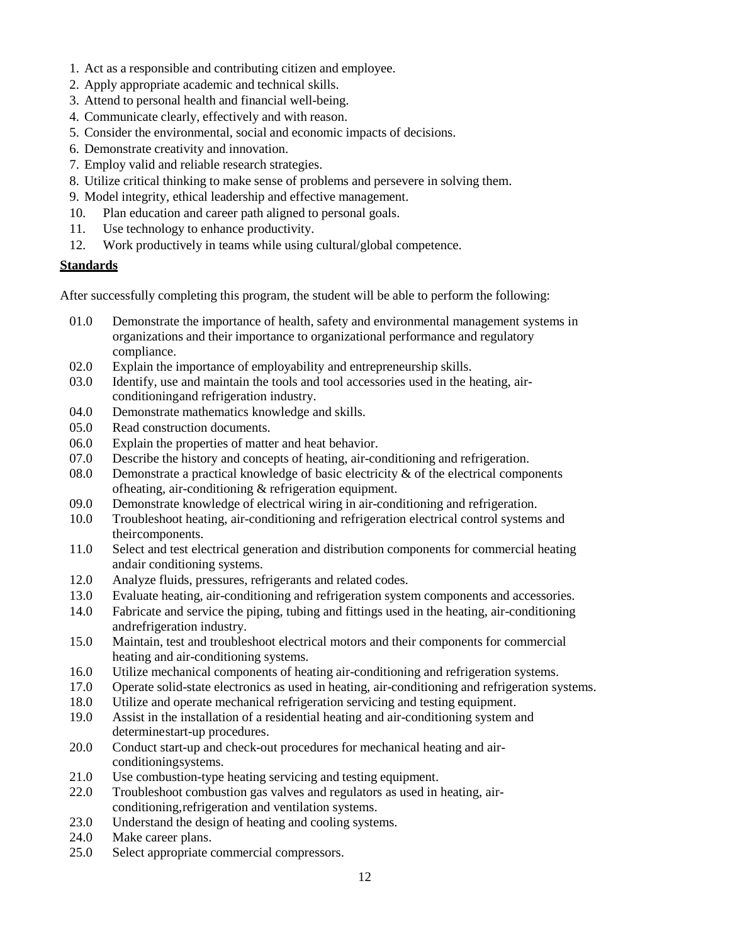- 1. Act as a responsible and contributing citizen and employee.
- 2. Apply appropriate academic and technical skills.
- 3. Attend to personal health and financial well-being.
- 4. Communicate clearly, effectively and with reason.
- 5. Consider the environmental, social and economic impacts of decisions.
- 6. Demonstrate creativity and innovation.
- 7. Employ valid and reliable research strategies.
- 8. Utilize critical thinking to make sense of problems and persevere in solving them.
- 9. Model integrity, ethical leadership and effective management.
- 10. Plan education and career path aligned to personal goals.
- 11. Use technology to enhance productivity.
- 12. Work productively in teams while using cultural/global competence.

#### **Standards**

After successfully completing this program, the student will be able to perform the following:

- 01.0 Demonstrate the importance of health, safety and environmental management systems in organizations and their importance to organizational performance and regulatory compliance.
- 02.0 Explain the importance of employability and entrepreneurship skills.
- 03.0 Identify, use and maintain the tools and tool accessories used in the heating, airconditioningand refrigeration industry.
- 04.0 Demonstrate mathematics knowledge and skills.
- 05.0 Read construction documents.
- 06.0 Explain the properties of matter and heat behavior.
- 07.0 Describe the history and concepts of heating, air-conditioning and refrigeration.
- 08.0 Demonstrate a practical knowledge of basic electricity  $\&$  of the electrical components ofheating, air-conditioning & refrigeration equipment.
- 09.0 Demonstrate knowledge of electrical wiring in air-conditioning and refrigeration.
- 10.0 Troubleshoot heating, air-conditioning and refrigeration electrical control systems and theircomponents.
- 11.0 Select and test electrical generation and distribution components for commercial heating andair conditioning systems.
- 12.0 Analyze fluids, pressures, refrigerants and related codes.
- 13.0 Evaluate heating, air-conditioning and refrigeration system components and accessories.
- 14.0 Fabricate and service the piping, tubing and fittings used in the heating, air-conditioning andrefrigeration industry.
- 15.0 Maintain, test and troubleshoot electrical motors and their components for commercial heating and air-conditioning systems.
- 16.0 Utilize mechanical components of heating air-conditioning and refrigeration systems.
- 17.0 Operate solid-state electronics as used in heating, air-conditioning and refrigeration systems.
- 18.0 Utilize and operate mechanical refrigeration servicing and testing equipment.
- 19.0 Assist in the installation of a residential heating and air-conditioning system and determinestart-up procedures.
- 20.0 Conduct start-up and check-out procedures for mechanical heating and airconditioningsystems.
- 21.0 Use combustion-type heating servicing and testing equipment.
- 22.0 Troubleshoot combustion gas valves and regulators as used in heating, airconditioning,refrigeration and ventilation systems.
- 23.0 Understand the design of heating and cooling systems.
- 24.0 Make career plans.
- 25.0 Select appropriate commercial compressors.